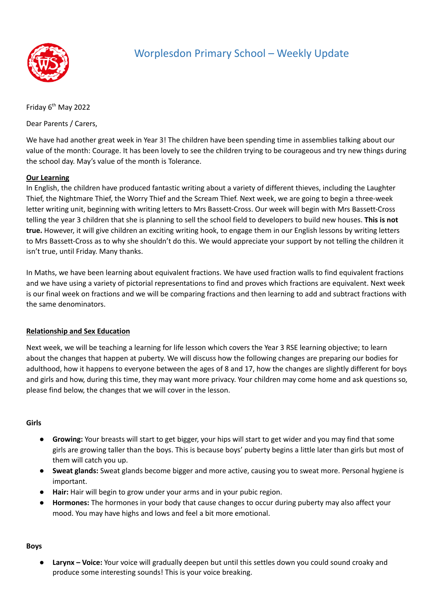

# Worplesdon Primary School – Weekly Update

Friday 6<sup>th</sup> May 2022

Dear Parents / Carers,

We have had another great week in Year 3! The children have been spending time in assemblies talking about our value of the month: Courage. It has been lovely to see the children trying to be courageous and try new things during the school day. May's value of the month is Tolerance.

## **Our Learning**

In English, the children have produced fantastic writing about a variety of different thieves, including the Laughter Thief, the Nightmare Thief, the Worry Thief and the Scream Thief. Next week, we are going to begin a three-week letter writing unit, beginning with writing letters to Mrs Bassett-Cross. Our week will begin with Mrs Bassett-Cross telling the year 3 children that she is planning to sell the school field to developers to build new houses. **This is not true.** However, it will give children an exciting writing hook, to engage them in our English lessons by writing letters to Mrs Bassett-Cross as to why she shouldn't do this. We would appreciate your support by not telling the children it isn't true, until Friday. Many thanks.

In Maths, we have been learning about equivalent fractions. We have used fraction walls to find equivalent fractions and we have using a variety of pictorial representations to find and proves which fractions are equivalent. Next week is our final week on fractions and we will be comparing fractions and then learning to add and subtract fractions with the same denominators.

## **Relationship and Sex Education**

Next week, we will be teaching a learning for life lesson which covers the Year 3 RSE learning objective; to learn about the changes that happen at puberty. We will discuss how the following changes are preparing our bodies for adulthood, how it happens to everyone between the ages of 8 and 17, how the changes are slightly different for boys and girls and how, during this time, they may want more privacy. Your children may come home and ask questions so, please find below, the changes that we will cover in the lesson.

## **Girls**

- **Growing:** Your breasts will start to get bigger, your hips will start to get wider and you may find that some girls are growing taller than the boys. This is because boys' puberty begins a little later than girls but most of them will catch you up.
- **Sweat glands:** Sweat glands become bigger and more active, causing you to sweat more. Personal hygiene is important.
- **Hair:** Hair will begin to grow under your arms and in your pubic region.
- Hormones: The hormones in your body that cause changes to occur during puberty may also affect your mood. You may have highs and lows and feel a bit more emotional.

## **Boys**

**Larynx - Voice:** Your voice will gradually deepen but until this settles down you could sound croaky and produce some interesting sounds! This is your voice breaking.